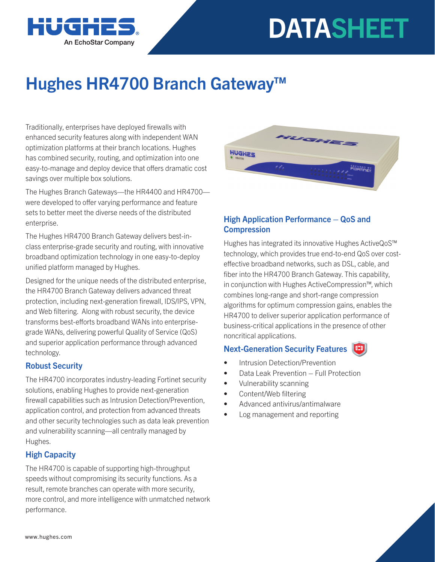



# Hughes HR4700 Branch Gateway™

Traditionally, enterprises have deployed firewalls with enhanced security features along with independent WAN optimization platforms at their branch locations. Hughes has combined security, routing, and optimization into one easy-to-manage and deploy device that offers dramatic cost savings over multiple box solutions.

The Hughes Branch Gateways—the HR4400 and HR4700 were developed to offer varying performance and feature sets to better meet the diverse needs of the distributed enterprise.

The Hughes HR4700 Branch Gateway delivers best-inclass enterprise-grade security and routing, with innovative broadband optimization technology in one easy-to-deploy unified platform managed by Hughes.

Designed for the unique needs of the distributed enterprise, the HR4700 Branch Gateway delivers advanced threat protection, including next-generation firewall, IDS/IPS, VPN, and Web filtering. Along with robust security, the device transforms best-efforts broadband WANs into enterprisegrade WANs, delivering powerful Quality of Service (QoS) and superior application performance through advanced technology.

## Robust Security

The HR4700 incorporates industry-leading Fortinet security solutions, enabling Hughes to provide next-generation firewall capabilities such as Intrusion Detection/Prevention, application control, and protection from advanced threats and other security technologies such as data leak prevention and vulnerability scanning—all centrally managed by Hughes.

## High Capacity

The HR4700 is capable of supporting high-throughput speeds without compromising its security functions. As a result, remote branches can operate with more security, more control, and more intelligence with unmatched network performance.



# High Application Performance – QoS and **Compression**

Hughes has integrated its innovative Hughes ActiveQoS™ technology, which provides true end-to-end QoS over costeffective broadband networks, such as DSL, cable, and fiber into the HR4700 Branch Gateway. This capability, in conjunction with Hughes ActiveCompression™, which combines long-range and short-range compression algorithms for optimum compression gains, enables the HR4700 to deliver superior application performance of business-critical applications in the presence of other noncritical applications.

#### Next-Generation Security Features

- Intrusion Detection/Prevention
- Data Leak Prevention Full Protection
- Vulnerability scanning
- Content/Web filtering
- Advanced antivirus/antimalware
- Log management and reporting